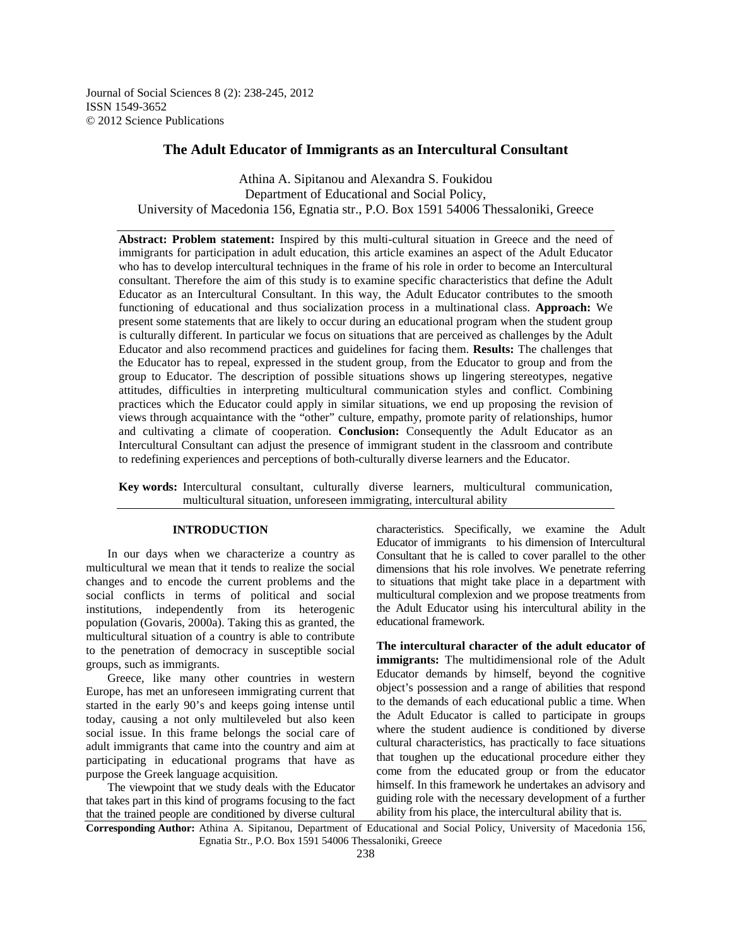Journal of Social Sciences 8 (2): 238-245, 2012 ISSN 1549-3652 © 2012 Science Publications

# **The Adult Educator of Immigrants as an Intercultural Consultant**

Athina A. Sipitanou and Alexandra S. Foukidou Department of Educational and Social Policy, University of Macedonia 156, Egnatia str., P.O. Box 1591 54006 Thessaloniki, Greece

**Abstract: Problem statement:** Inspired by this multi-cultural situation in Greece and the need of immigrants for participation in adult education, this article examines an aspect of the Adult Educator who has to develop intercultural techniques in the frame of his role in order to become an Intercultural consultant. Therefore the aim of this study is to examine specific characteristics that define the Adult Educator as an Intercultural Consultant. In this way, the Adult Educator contributes to the smooth functioning of educational and thus socialization process in a multinational class. **Approach:** We present some statements that are likely to occur during an educational program when the student group is culturally different. In particular we focus on situations that are perceived as challenges by the Adult Educator and also recommend practices and guidelines for facing them. **Results:** The challenges that the Educator has to repeal, expressed in the student group, from the Educator to group and from the group to Educator. The description of possible situations shows up lingering stereotypes, negative attitudes, difficulties in interpreting multicultural communication styles and conflict. Combining practices which the Educator could apply in similar situations, we end up proposing the revision of views through acquaintance with the "other" culture, empathy, promote parity of relationships, humor and cultivating a climate of cooperation. **Conclusion:** Consequently the Adult Educator as an Intercultural Consultant can adjust the presence of immigrant student in the classroom and contribute to redefining experiences and perceptions of both-culturally diverse learners and the Educator.

**Key words:** Intercultural consultant, culturally diverse learners, multicultural communication, multicultural situation, unforeseen immigrating, intercultural ability

## **INTRODUCTION**

 In our days when we characterize a country as multicultural we mean that it tends to realize the social changes and to encode the current problems and the social conflicts in terms of political and social institutions, independently from its heterogenic population (Govaris, 2000a). Taking this as granted, the multicultural situation of a country is able to contribute to the penetration of democracy in susceptible social groups, such as immigrants.

 Greece, like many other countries in western Europe, has met an unforeseen immigrating current that started in the early 90's and keeps going intense until today, causing a not only multileveled but also keen social issue. In this frame belongs the social care of adult immigrants that came into the country and aim at participating in educational programs that have as purpose the Greek language acquisition.

 The viewpoint that we study deals with the Educator that takes part in this kind of programs focusing to the fact that the trained people are conditioned by diverse cultural

characteristics. Specifically, we examine the Adult Educator of immigrants to his dimension of Intercultural Consultant that he is called to cover parallel to the other dimensions that his role involves. We penetrate referring to situations that might take place in a department with multicultural complexion and we propose treatments from the Adult Educator using his intercultural ability in the educational framework.

**The intercultural character of the adult educator of immigrants:** The multidimensional role of the Adult Educator demands by himself, beyond the cognitive object's possession and a range of abilities that respond to the demands of each educational public a time. When the Adult Educator is called to participate in groups where the student audience is conditioned by diverse cultural characteristics, has practically to face situations that toughen up the educational procedure either they come from the educated group or from the educator himself. In this framework he undertakes an advisory and guiding role with the necessary development of a further ability from his place, the intercultural ability that is.

**Corresponding Author:** Athina A. Sipitanou, Department of Educational and Social Policy, University of Macedonia 156, Egnatia Str., P.O. Box 1591 54006 Thessaloniki, Greece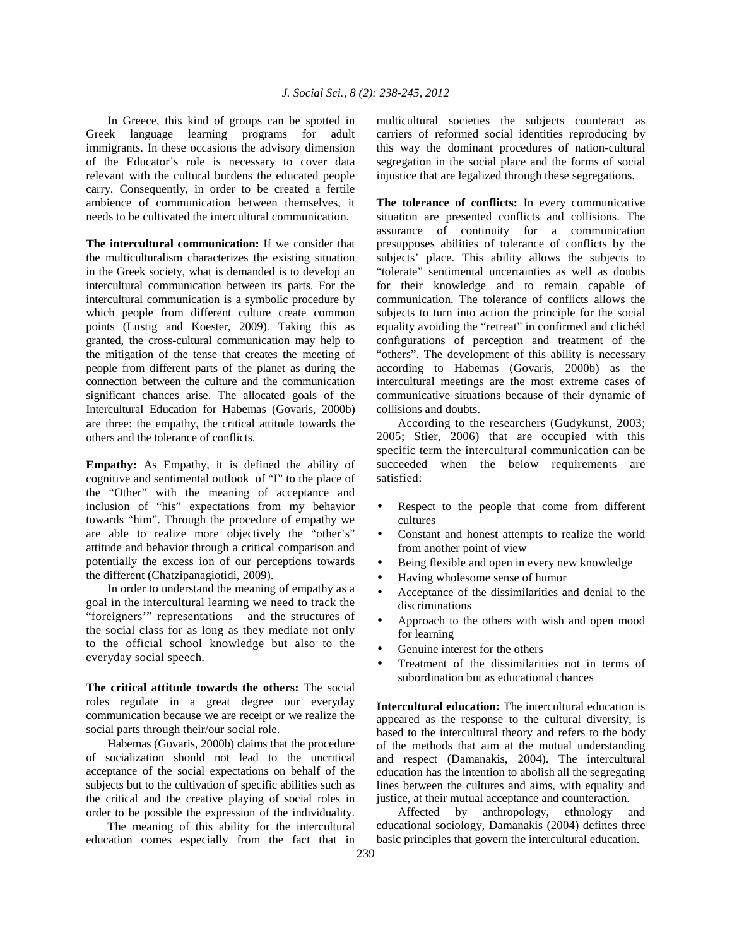In Greece, this kind of groups can be spotted in Greek language learning programs for adult immigrants. In these occasions the advisory dimension of the Educator's role is necessary to cover data relevant with the cultural burdens the educated people carry. Consequently, in order to be created a fertile ambience of communication between themselves, it needs to be cultivated the intercultural communication.

**The intercultural communication:** If we consider that the multiculturalism characterizes the existing situation in the Greek society, what is demanded is to develop an intercultural communication between its parts. For the intercultural communication is a symbolic procedure by which people from different culture create common points (Lustig and Koester, 2009). Taking this as granted, the cross-cultural communication may help to the mitigation of the tense that creates the meeting of people from different parts of the planet as during the connection between the culture and the communication significant chances arise. The allocated goals of the Intercultural Education for Habemas (Govaris, 2000b) are three: the empathy, the critical attitude towards the others and the tolerance of conflicts.

**Empathy:** As Empathy, it is defined the ability of cognitive and sentimental outlook of "I" to the place of the "Other" with the meaning of acceptance and inclusion of "his" expectations from my behavior towards "him". Through the procedure of empathy we are able to realize more objectively the "other's" attitude and behavior through a critical comparison and potentially the excess ion of our perceptions towards the different (Chatzipanagiotidi, 2009).

 In order to understand the meaning of empathy as a goal in the intercultural learning we need to track the "foreigners'" representations and the structures of the social class for as long as they mediate not only to the official school knowledge but also to the everyday social speech.

**The critical attitude towards the others:** The social roles regulate in a great degree our everyday communication because we are receipt or we realize the social parts through their/our social role.

 Habemas (Govaris, 2000b) claims that the procedure of socialization should not lead to the uncritical acceptance of the social expectations on behalf of the subjects but to the cultivation of specific abilities such as the critical and the creative playing of social roles in order to be possible the expression of the individuality.

 The meaning of this ability for the intercultural education comes especially from the fact that in multicultural societies the subjects counteract as carriers of reformed social identities reproducing by this way the dominant procedures of nation-cultural segregation in the social place and the forms of social injustice that are legalized through these segregations.

**The tolerance of conflicts:** In every communicative situation are presented conflicts and collisions. The assurance of continuity for a communication presupposes abilities of tolerance of conflicts by the subjects' place. This ability allows the subjects to "tolerate" sentimental uncertainties as well as doubts for their knowledge and to remain capable of communication. The tolerance of conflicts allows the subjects to turn into action the principle for the social equality avoiding the "retreat" in confirmed and clichéd configurations of perception and treatment of the "others". The development of this ability is necessary according to Habemas (Govaris, 2000b) as the intercultural meetings are the most extreme cases of communicative situations because of their dynamic of collisions and doubts.

 According to the researchers (Gudykunst, 2003; 2005; Stier, 2006) that are occupied with this specific term the intercultural communication can be succeeded when the below requirements are satisfied:

- Respect to the people that come from different cultures
- Constant and honest attempts to realize the world from another point of view
- Being flexible and open in every new knowledge
- Having wholesome sense of humor
- Acceptance of the dissimilarities and denial to the discriminations
- Approach to the others with wish and open mood for learning
- Genuine interest for the others
- Treatment of the dissimilarities not in terms of subordination but as educational chances

**Intercultural education:** The intercultural education is appeared as the response to the cultural diversity, is based to the intercultural theory and refers to the body of the methods that aim at the mutual understanding and respect (Damanakis, 2004). The intercultural education has the intention to abolish all the segregating lines between the cultures and aims, with equality and justice, at their mutual acceptance and counteraction.

 Affected by anthropology, ethnology and educational sociology, Damanakis (2004) defines three basic principles that govern the intercultural education.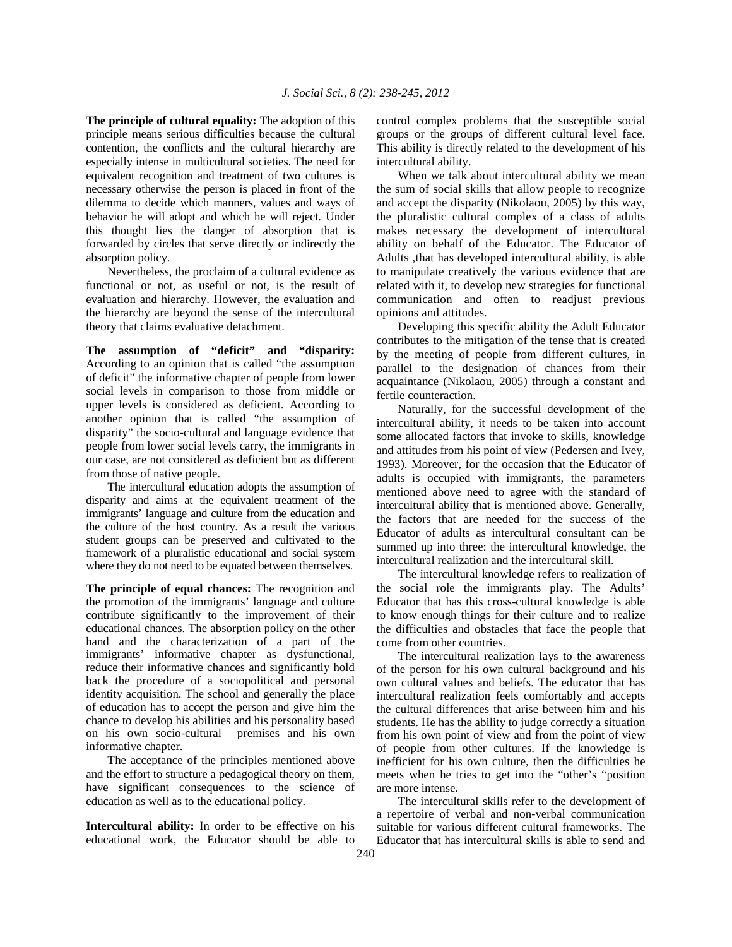**The principle of cultural equality:** The adoption of this principle means serious difficulties because the cultural contention, the conflicts and the cultural hierarchy are especially intense in multicultural societies. The need for equivalent recognition and treatment of two cultures is necessary otherwise the person is placed in front of the dilemma to decide which manners, values and ways of behavior he will adopt and which he will reject. Under this thought lies the danger of absorption that is forwarded by circles that serve directly or indirectly the absorption policy.

 Nevertheless, the proclaim of a cultural evidence as functional or not, as useful or not, is the result of evaluation and hierarchy. However, the evaluation and the hierarchy are beyond the sense of the intercultural theory that claims evaluative detachment.

**The assumption of "deficit" and "disparity:**  According to an opinion that is called "the assumption of deficit" the informative chapter of people from lower social levels in comparison to those from middle or upper levels is considered as deficient. According to another opinion that is called "the assumption of disparity" the socio-cultural and language evidence that people from lower social levels carry, the immigrants in our case, are not considered as deficient but as different from those of native people.

 The intercultural education adopts the assumption of disparity and aims at the equivalent treatment of the immigrants' language and culture from the education and the culture of the host country. As a result the various student groups can be preserved and cultivated to the framework of a pluralistic educational and social system where they do not need to be equated between themselves.

**The principle of equal chances:** The recognition and the promotion of the immigrants' language and culture contribute significantly to the improvement of their educational chances. The absorption policy on the other hand and the characterization of a part of the immigrants' informative chapter as dysfunctional, reduce their informative chances and significantly hold back the procedure of a sociopolitical and personal identity acquisition. The school and generally the place of education has to accept the person and give him the chance to develop his abilities and his personality based on his own socio-cultural premises and his own informative chapter.

 The acceptance of the principles mentioned above and the effort to structure a pedagogical theory on them, have significant consequences to the science of education as well as to the educational policy.

**Intercultural ability:** In order to be effective on his educational work, the Educator should be able to control complex problems that the susceptible social groups or the groups of different cultural level face. This ability is directly related to the development of his intercultural ability.

 When we talk about intercultural ability we mean the sum of social skills that allow people to recognize and accept the disparity (Nikolaou, 2005) by this way, the pluralistic cultural complex of a class of adults makes necessary the development of intercultural ability on behalf of the Educator. The Educator of Adults ,that has developed intercultural ability, is able to manipulate creatively the various evidence that are related with it, to develop new strategies for functional communication and often to readjust previous opinions and attitudes.

 Developing this specific ability the Adult Educator contributes to the mitigation of the tense that is created by the meeting of people from different cultures, in parallel to the designation of chances from their acquaintance (Nikolaou, 2005) through a constant and fertile counteraction.

 Naturally, for the successful development of the intercultural ability, it needs to be taken into account some allocated factors that invoke to skills, knowledge and attitudes from his point of view (Pedersen and Ivey, 1993). Moreover, for the occasion that the Educator of adults is occupied with immigrants, the parameters mentioned above need to agree with the standard of intercultural ability that is mentioned above. Generally, the factors that are needed for the success of the Educator of adults as intercultural consultant can be summed up into three: the intercultural knowledge, the intercultural realization and the intercultural skill.

 The intercultural knowledge refers to realization of the social role the immigrants play. The Adults' Educator that has this cross-cultural knowledge is able to know enough things for their culture and to realize the difficulties and obstacles that face the people that come from other countries.

 The intercultural realization lays to the awareness of the person for his own cultural background and his own cultural values and beliefs. The educator that has intercultural realization feels comfortably and accepts the cultural differences that arise between him and his students. He has the ability to judge correctly a situation from his own point of view and from the point of view of people from other cultures. If the knowledge is inefficient for his own culture, then the difficulties he meets when he tries to get into the "other's "position are more intense.

 The intercultural skills refer to the development of a repertoire of verbal and non-verbal communication suitable for various different cultural frameworks. The Educator that has intercultural skills is able to send and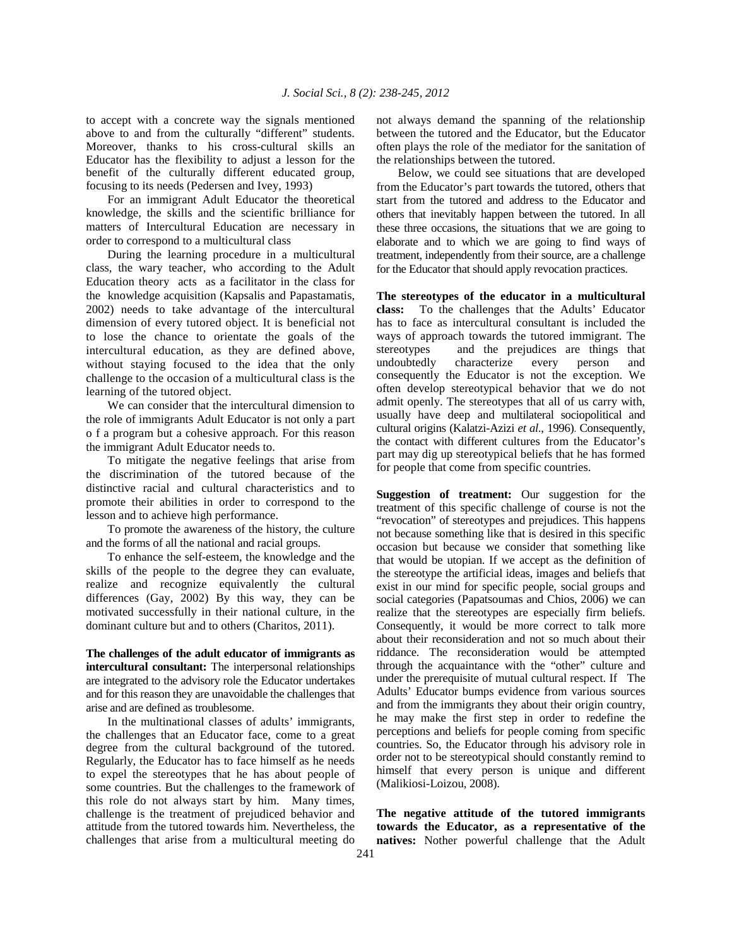to accept with a concrete way the signals mentioned above to and from the culturally "different" students. Moreover, thanks to his cross-cultural skills an Educator has the flexibility to adjust a lesson for the benefit of the culturally different educated group, focusing to its needs (Pedersen and Ivey, 1993)

 For an immigrant Adult Educator the theoretical knowledge, the skills and the scientific brilliance for matters of Intercultural Education are necessary in order to correspond to a multicultural class

 During the learning procedure in a multicultural class, the wary teacher, who according to the Adult Education theory acts as a facilitator in the class for the knowledge acquisition (Kapsalis and Papastamatis, 2002) needs to take advantage of the intercultural dimension of every tutored object. It is beneficial not to lose the chance to orientate the goals of the intercultural education, as they are defined above, without staying focused to the idea that the only challenge to the occasion of a multicultural class is the learning of the tutored object.

 We can consider that the intercultural dimension to the role of immigrants Adult Educator is not only a part o f a program but a cohesive approach. For this reason the immigrant Adult Educator needs to.

 To mitigate the negative feelings that arise from the discrimination of the tutored because of the distinctive racial and cultural characteristics and to promote their abilities in order to correspond to the lesson and to achieve high performance.

 To promote the awareness of the history, the culture and the forms of all the national and racial groups.

 To enhance the self-esteem, the knowledge and the skills of the people to the degree they can evaluate, realize and recognize equivalently the cultural differences (Gay, 2002) By this way, they can be motivated successfully in their national culture, in the dominant culture but and to others (Charitos, 2011).

**The challenges of the adult educator of immigrants as intercultural consultant:** The interpersonal relationships are integrated to the advisory role the Educator undertakes and for this reason they are unavoidable the challenges that arise and are defined as troublesome.

 In the multinational classes of adults' immigrants, the challenges that an Educator face, come to a great degree from the cultural background of the tutored. Regularly, the Educator has to face himself as he needs to expel the stereotypes that he has about people of some countries. But the challenges to the framework of this role do not always start by him. Many times, challenge is the treatment of prejudiced behavior and attitude from the tutored towards him. Nevertheless, the challenges that arise from a multicultural meeting do

not always demand the spanning of the relationship between the tutored and the Educator, but the Educator often plays the role of the mediator for the sanitation of the relationships between the tutored.

 Below, we could see situations that are developed from the Educator's part towards the tutored, others that start from the tutored and address to the Educator and others that inevitably happen between the tutored. In all these three occasions, the situations that we are going to elaborate and to which we are going to find ways of treatment, independently from their source, are a challenge for the Educator that should apply revocation practices.

**The stereotypes of the educator in a multicultural class:** To the challenges that the Adults' Educator has to face as intercultural consultant is included the ways of approach towards the tutored immigrant. The stereotypes and the prejudices are things that undoubtedly characterize every person and consequently the Educator is not the exception. We often develop stereotypical behavior that we do not admit openly. The stereotypes that all of us carry with, usually have deep and multilateral sociopolitical and cultural origins (Kalatzi-Azizi *et al*., 1996). Consequently, the contact with different cultures from the Educator's part may dig up stereotypical beliefs that he has formed for people that come from specific countries.

**Suggestion of treatment:** Our suggestion for the treatment of this specific challenge of course is not the "revocation" of stereotypes and prejudices. This happens not because something like that is desired in this specific occasion but because we consider that something like that would be utopian. If we accept as the definition of the stereotype the artificial ideas, images and beliefs that exist in our mind for specific people, social groups and social categories (Papatsoumas and Chios, 2006) we can realize that the stereotypes are especially firm beliefs. Consequently, it would be more correct to talk more about their reconsideration and not so much about their riddance. The reconsideration would be attempted through the acquaintance with the "other" culture and under the prerequisite of mutual cultural respect. If The Adults' Educator bumps evidence from various sources and from the immigrants they about their origin country, he may make the first step in order to redefine the perceptions and beliefs for people coming from specific countries. So, the Educator through his advisory role in order not to be stereotypical should constantly remind to himself that every person is unique and different (Malikiosi-Loizou, 2008).

**The negative attitude of the tutored immigrants towards the Educator, as a representative of the natives:** Nother powerful challenge that the Adult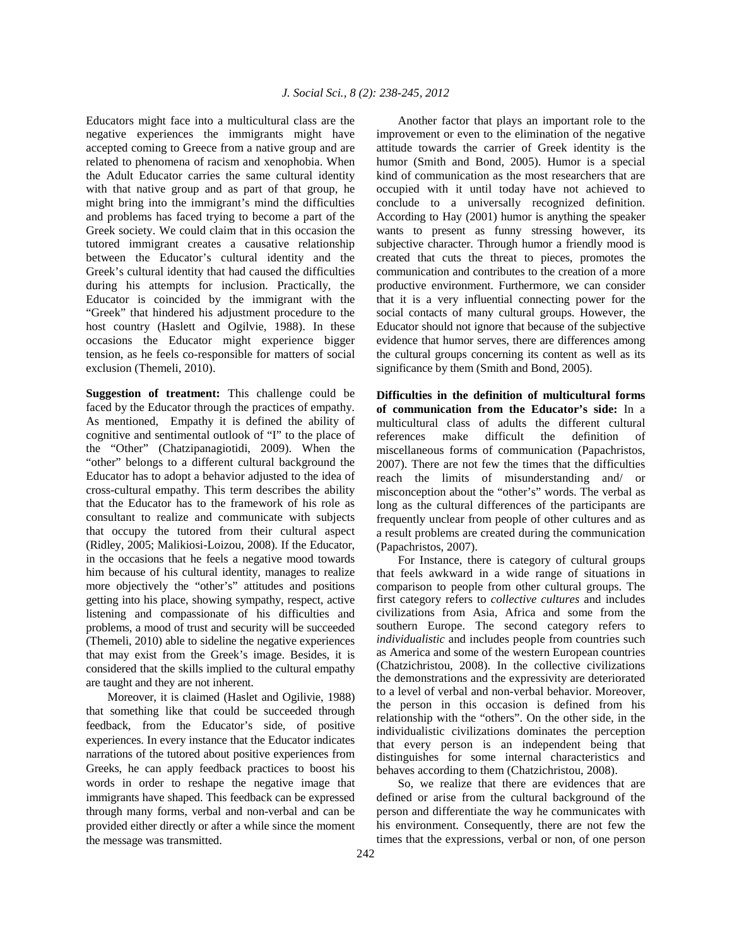Educators might face into a multicultural class are the negative experiences the immigrants might have accepted coming to Greece from a native group and are related to phenomena of racism and xenophobia. When the Adult Educator carries the same cultural identity with that native group and as part of that group, he might bring into the immigrant's mind the difficulties and problems has faced trying to become a part of the Greek society. We could claim that in this occasion the tutored immigrant creates a causative relationship between the Educator's cultural identity and the Greek's cultural identity that had caused the difficulties during his attempts for inclusion. Practically, the Educator is coincided by the immigrant with the "Greek" that hindered his adjustment procedure to the host country (Haslett and Ogilvie, 1988). In these occasions the Educator might experience bigger tension, as he feels co-responsible for matters of social exclusion (Themeli, 2010).

**Suggestion of treatment:** This challenge could be faced by the Educator through the practices of empathy. As mentioned, Empathy it is defined the ability of cognitive and sentimental outlook of "I" to the place of the "Other" (Chatzipanagiotidi, 2009). When the "other" belongs to a different cultural background the Educator has to adopt a behavior adjusted to the idea of cross-cultural empathy. This term describes the ability that the Educator has to the framework of his role as consultant to realize and communicate with subjects that occupy the tutored from their cultural aspect (Ridley, 2005; Malikiosi-Loizou, 2008). If the Educator, in the occasions that he feels a negative mood towards him because of his cultural identity, manages to realize more objectively the "other's" attitudes and positions getting into his place, showing sympathy, respect, active listening and compassionate of his difficulties and problems, a mood of trust and security will be succeeded (Themeli, 2010) able to sideline the negative experiences that may exist from the Greek's image. Besides, it is considered that the skills implied to the cultural empathy are taught and they are not inherent.

 Moreover, it is claimed (Haslet and Ogilivie, 1988) that something like that could be succeeded through feedback, from the Educator's side, of positive experiences. In every instance that the Educator indicates narrations of the tutored about positive experiences from Greeks, he can apply feedback practices to boost his words in order to reshape the negative image that immigrants have shaped. This feedback can be expressed through many forms, verbal and non-verbal and can be provided either directly or after a while since the moment the message was transmitted.

 Another factor that plays an important role to the improvement or even to the elimination of the negative attitude towards the carrier of Greek identity is the humor (Smith and Bond, 2005). Humor is a special kind of communication as the most researchers that are occupied with it until today have not achieved to conclude to a universally recognized definition. According to Hay (2001) humor is anything the speaker wants to present as funny stressing however, its subjective character. Through humor a friendly mood is created that cuts the threat to pieces, promotes the communication and contributes to the creation of a more productive environment. Furthermore, we can consider that it is a very influential connecting power for the social contacts of many cultural groups. However, the Educator should not ignore that because of the subjective evidence that humor serves, there are differences among the cultural groups concerning its content as well as its significance by them (Smith and Bond, 2005).

**Difficulties in the definition of multicultural forms of communication from the Educator's side:** Ιn a multicultural class of adults the different cultural references make difficult the definition of miscellaneous forms of communication (Papachristos, 2007). There are not few the times that the difficulties reach the limits of misunderstanding and/ or misconception about the "other's" words. The verbal as long as the cultural differences of the participants are frequently unclear from people of other cultures and as a result problems are created during the communication (Papachristos, 2007).

 For Instance, there is category of cultural groups that feels awkward in a wide range of situations in comparison to people from other cultural groups. The first category refers to *collective cultures* and includes civilizations from Asia, Africa and some from the southern Europe. The second category refers to *individualistic* and includes people from countries such as America and some of the western European countries (Chatzichristou, 2008). In the collective civilizations the demonstrations and the expressivity are deteriorated to a level of verbal and non-verbal behavior. Moreover, the person in this occasion is defined from his relationship with the "others". On the other side, in the individualistic civilizations dominates the perception that every person is an independent being that distinguishes for some internal characteristics and behaves according to them (Chatzichristou, 2008).

 So, we realize that there are evidences that are defined or arise from the cultural background of the person and differentiate the way he communicates with his environment. Consequently, there are not few the times that the expressions, verbal or non, of one person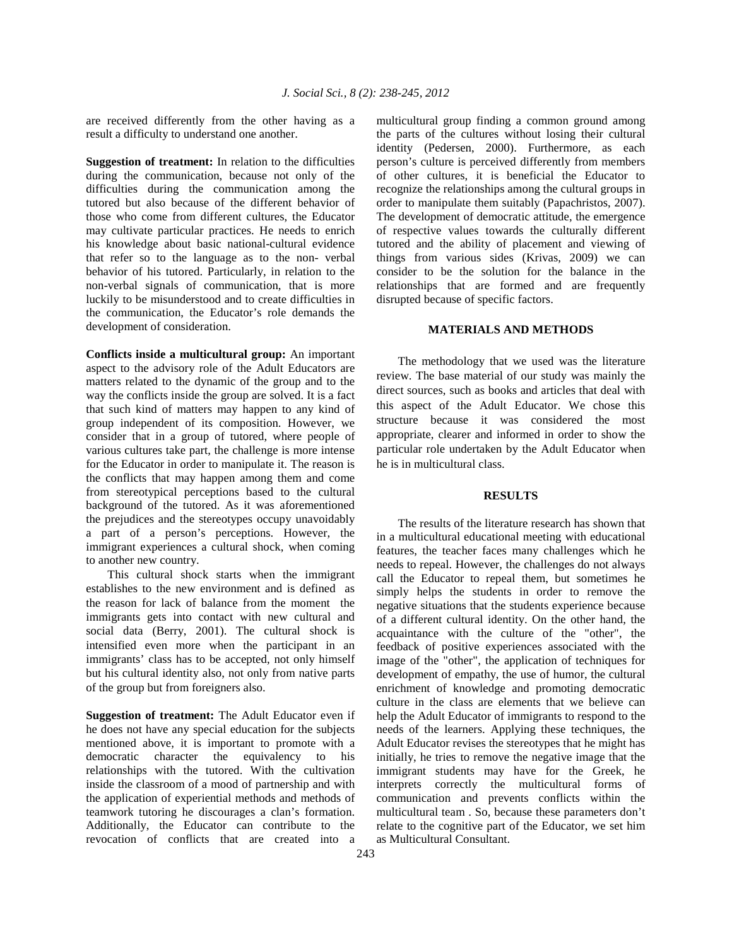are received differently from the other having as a result a difficulty to understand one another.

**Suggestion of treatment:** In relation to the difficulties during the communication, because not only of the difficulties during the communication among the tutored but also because of the different behavior of those who come from different cultures, the Educator may cultivate particular practices. He needs to enrich his knowledge about basic national-cultural evidence that refer so to the language as to the non- verbal behavior of his tutored. Particularly, in relation to the non-verbal signals of communication, that is more luckily to be misunderstood and to create difficulties in the communication, the Educator's role demands the development of consideration.

**Conflicts inside a multicultural group:** An important aspect to the advisory role of the Adult Educators are matters related to the dynamic of the group and to the way the conflicts inside the group are solved. It is a fact that such kind of matters may happen to any kind of group independent of its composition. However, we consider that in a group of tutored, where people of various cultures take part, the challenge is more intense for the Educator in order to manipulate it. The reason is the conflicts that may happen among them and come from stereotypical perceptions based to the cultural background of the tutored. As it was aforementioned the prejudices and the stereotypes occupy unavoidably a part of a person's perceptions. However, the immigrant experiences a cultural shock, when coming to another new country.

 This cultural shock starts when the immigrant establishes to the new environment and is defined as the reason for lack of balance from the moment the immigrants gets into contact with new cultural and social data (Berry, 2001). The cultural shock is intensified even more when the participant in an immigrants' class has to be accepted, not only himself but his cultural identity also, not only from native parts of the group but from foreigners also.

**Suggestion of treatment:** The Adult Educator even if he does not have any special education for the subjects mentioned above, it is important to promote with a democratic character the equivalency to his relationships with the tutored. With the cultivation inside the classroom of a mood of partnership and with the application of experiential methods and methods of teamwork tutoring he discourages a clan's formation. Additionally, the Educator can contribute to the revocation of conflicts that are created into a

multicultural group finding a common ground among the parts of the cultures without losing their cultural identity (Pedersen, 2000). Furthermore, as each person's culture is perceived differently from members of other cultures, it is beneficial the Educator to recognize the relationships among the cultural groups in order to manipulate them suitably (Papachristos, 2007). The development of democratic attitude, the emergence of respective values towards the culturally different tutored and the ability of placement and viewing of things from various sides (Krivas, 2009) we can consider to be the solution for the balance in the relationships that are formed and are frequently disrupted because of specific factors.

# **MATERIALS AND METHODS**

 The methodology that we used was the literature review. The base material of our study was mainly the direct sources, such as books and articles that deal with this aspect of the Adult Educator. We chose this structure because it was considered the most appropriate, clearer and informed in order to show the particular role undertaken by the Adult Educator when he is in multicultural class.

#### **RESULTS**

 The results of the literature research has shown that in a multicultural educational meeting with educational features, the teacher faces many challenges which he needs to repeal. However, the challenges do not always call the Educator to repeal them, but sometimes he simply helps the students in order to remove the negative situations that the students experience because of a different cultural identity. On the other hand, the acquaintance with the culture of the "other", the feedback of positive experiences associated with the image of the "other", the application of techniques for development of empathy, the use of humor, the cultural enrichment of knowledge and promoting democratic culture in the class are elements that we believe can help the Adult Educator of immigrants to respond to the needs of the learners. Applying these techniques, the Adult Educator revises the stereotypes that he might has initially, he tries to remove the negative image that the immigrant students may have for the Greek, he interprets correctly the multicultural forms of communication and prevents conflicts within the multicultural team . So, because these parameters don't relate to the cognitive part of the Educator, we set him as Multicultural Consultant.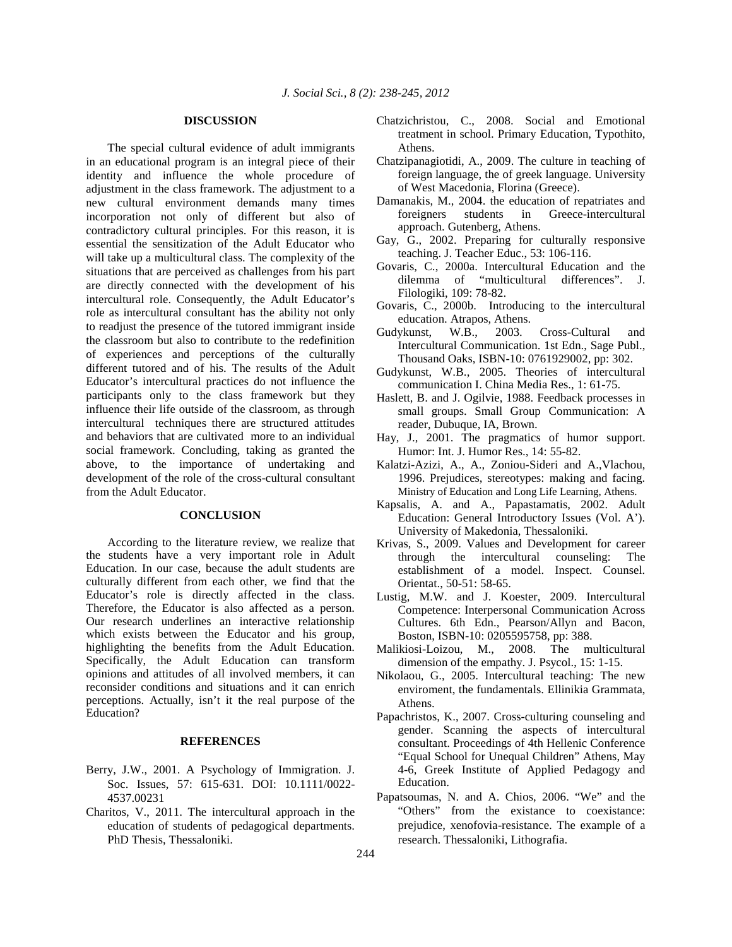#### **DISCUSSION**

 The special cultural evidence of adult immigrants in an educational program is an integral piece of their identity and influence the whole procedure of adjustment in the class framework. The adjustment to a new cultural environment demands many times incorporation not only of different but also of contradictory cultural principles. For this reason, it is essential the sensitization of the Adult Educator who will take up a multicultural class. The complexity of the situations that are perceived as challenges from his part are directly connected with the development of his intercultural role. Consequently, the Adult Educator's role as intercultural consultant has the ability not only to readjust the presence of the tutored immigrant inside the classroom but also to contribute to the redefinition of experiences and perceptions of the culturally different tutored and of his. The results of the Adult Educator's intercultural practices do not influence the participants only to the class framework but they influence their life outside of the classroom, as through intercultural techniques there are structured attitudes and behaviors that are cultivated more to an individual social framework. Concluding, taking as granted the above, to the importance of undertaking and development of the role of the cross-cultural consultant from the Adult Educator.

### **CONCLUSION**

 According to the literature review, we realize that the students have a very important role in Adult Education. In our case, because the adult students are culturally different from each other, we find that the Educator's role is directly affected in the class. Therefore, the Educator is also affected as a person. Our research underlines an interactive relationship which exists between the Educator and his group, highlighting the benefits from the Adult Education. Specifically, the Adult Education can transform opinions and attitudes of all involved members, it can reconsider conditions and situations and it can enrich perceptions. Actually, isn't it the real purpose of the Education?

### **REFERENCES**

- Berry, J.W., 2001. A Psychology of Immigration. J. Soc. Issues, 57: 615-631. DOI: 10.1111/0022- 4537.00231
- Charitos, V., 2011. The intercultural approach in the education of students of pedagogical departments. PhD Thesis, Thessaloniki.
- Chatzichristou, C., 2008. Social and Emotional treatment in school. Primary Education, Typothito, Athens.
- Chatzipanagiotidi, A., 2009. The culture in teaching of foreign language, the of greek language. University of West Macedonia, Florina (Greece).
- Damanakis, M., 2004. the education of repatriates and foreigners students in Greece-intercultural approach. Gutenberg, Athens.
- Gay, G., 2002. Preparing for culturally responsive teaching. J. Teacher Educ., 53: 106-116.
- Govaris, C., 2000a. Intercultural Education and the dilemma of "multicultural differences". J. Filologiki, 109: 78-82.
- Govaris, C., 2000b. Introducing to the intercultural education. Atrapos, Athens.
- Gudykunst, W.B., 2003. Cross-Cultural and Intercultural Communication. 1st Edn., Sage Publ., Thousand Oaks, ISBN-10: 0761929002, pp: 302.
- Gudykunst, W.B., 2005. Theories of intercultural communication I. China Media Res., 1: 61-75.
- Haslett, B. and J. Ogilvie, 1988. Feedback processes in small groups. Small Group Communication: Α reader, Dubuque, IA, Brown.
- Hay, J., 2001. The pragmatics of humor support. Humor: Int. J. Humor Res., 14: 55-82.
- Kalatzi-Azizi, A., A., Zoniou-Sideri and A.,Vlachou, 1996. Prejudices, stereotypes: making and facing. Ministry of Education and Long Life Learning, Athens.
- Kapsalis, A. and A., Papastamatis, 2002. Adult Education: General Introductory Issues (Vol. A'). University of Makedonia, Thessaloniki.
- Krivas, S., 2009. Values and Development for career through the intercultural counseling: The establishment of a model. Inspect. Counsel. Orientat., 50-51: 58-65.
- Lustig, M.W. and J. Koester, 2009. Intercultural Competence: Interpersonal Communication Across Cultures. 6th Edn., Pearson/Allyn and Bacon, Boston, ISBN-10: 0205595758, pp: 388.
- Malikiosi-Loizou, M., 2008. The multicultural dimension of the empathy. J. Psycol., 15: 1-15.
- Nikolaou, G., 2005. Intercultural teaching: The new enviroment, the fundamentals. Ellinikia Grammata, Athens.
- Papachristos, K., 2007. Cross-culturing counseling and gender. Scanning the aspects of intercultural consultant. Proceedings of 4th Hellenic Conference "Equal School for Unequal Children" Athens, May 4-6, Greek Institute of Applied Pedagogy and Education.
- Papatsoumas, N. and A. Chios, 2006. "We" and the "Others" from the existance to coexistance: prejudice, xenofovia-resistance. The example of a research. Thessaloniki, Lithografia.